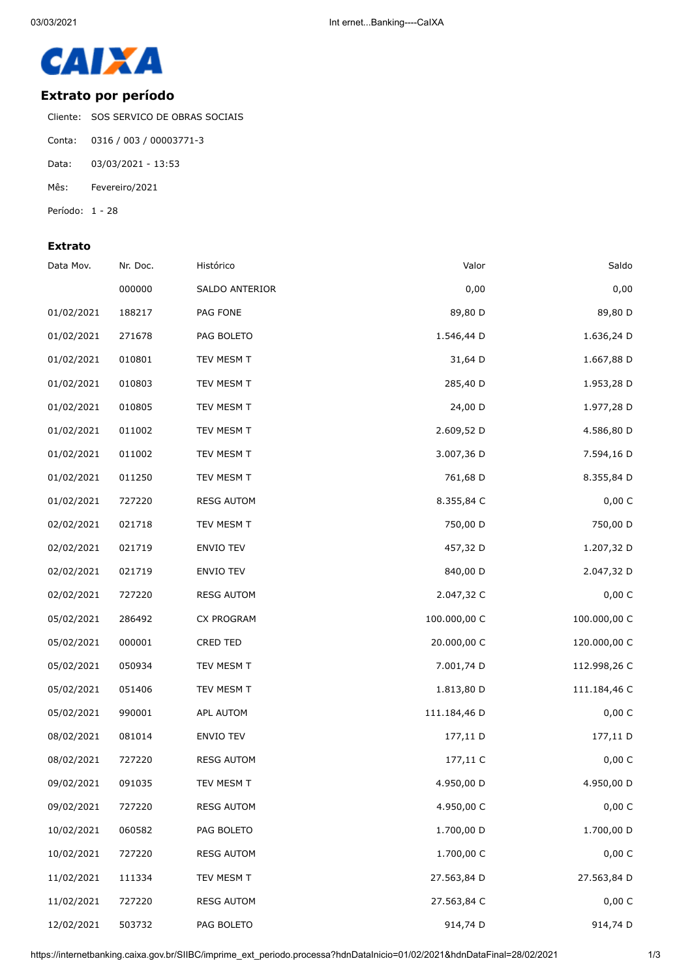

## **Extrato por período**

Cliente: SOS SERVICO DE OBRAS SOCIAIS

- Conta: 0316 / 003 / 00003771-3
- Data: 03/03/2021 13:53
- Mês: Fevereiro/2021
- Período: 1 28

## **Extrato**

| Saldo        | Valor        | Histórico         | Nr. Doc. | Data Mov.  |
|--------------|--------------|-------------------|----------|------------|
| 0,00         | 0,00         | SALDO ANTERIOR    | 000000   |            |
| 89,80 D      | 89,80 D      | PAG FONE          | 188217   | 01/02/2021 |
| 1.636,24 D   | 1.546,44 D   | PAG BOLETO        | 271678   | 01/02/2021 |
| 1.667,88 D   | 31,64 D      | TEV MESM T        | 010801   | 01/02/2021 |
| 1.953,28 D   | 285,40 D     | TEV MESM T        | 010803   | 01/02/2021 |
| 1.977,28 D   | 24,00 D      | TEV MESM T        | 010805   | 01/02/2021 |
| 4.586,80 D   | 2.609,52 D   | TEV MESM T        | 011002   | 01/02/2021 |
| 7.594,16 D   | 3.007,36 D   | TEV MESM T        | 011002   | 01/02/2021 |
| 8.355,84 D   | 761,68 D     | TEV MESM T        | 011250   | 01/02/2021 |
| 0,00 C       | 8.355,84 C   | <b>RESG AUTOM</b> | 727220   | 01/02/2021 |
| 750,00 D     | 750,00 D     | TEV MESM T        | 021718   | 02/02/2021 |
| 1.207,32 D   | 457,32 D     | <b>ENVIO TEV</b>  | 021719   | 02/02/2021 |
| 2.047,32 D   | 840,00 D     | ENVIO TEV         | 021719   | 02/02/2021 |
| 0,00 C       | 2.047,32 C   | <b>RESG AUTOM</b> | 727220   | 02/02/2021 |
| 100.000,00 C | 100.000,00 C | CX PROGRAM        | 286492   | 05/02/2021 |
| 120.000,00 C | 20.000,00 C  | <b>CRED TED</b>   | 000001   | 05/02/2021 |
| 112.998,26 C | 7.001,74 D   | TEV MESM T        | 050934   | 05/02/2021 |
| 111.184,46 C | 1.813,80 D   | TEV MESM T        | 051406   | 05/02/2021 |
| 0,00 C       | 111.184,46 D | APL AUTOM         | 990001   | 05/02/2021 |
| 177,11 D     | 177,11 D     | ENVIO TEV         | 081014   | 08/02/2021 |
| 0,00 C       | 177,11 C     | <b>RESG AUTOM</b> | 727220   | 08/02/2021 |
| 4.950,00 D   | 4.950,00 D   | TEV MESM T        | 091035   | 09/02/2021 |
| 0,00 C       | 4.950,00 C   | <b>RESG AUTOM</b> | 727220   | 09/02/2021 |
| 1.700,00 D   | 1.700,00 D   | PAG BOLETO        | 060582   | 10/02/2021 |
| 0,00 C       | 1.700,00 C   | <b>RESG AUTOM</b> | 727220   | 10/02/2021 |
| 27.563,84 D  | 27.563,84 D  | TEV MESM T        | 111334   | 11/02/2021 |
| 0,00 C       | 27.563,84 C  | <b>RESG AUTOM</b> | 727220   | 11/02/2021 |
| 914,74 D     | 914,74 D     | PAG BOLETO        | 503732   | 12/02/2021 |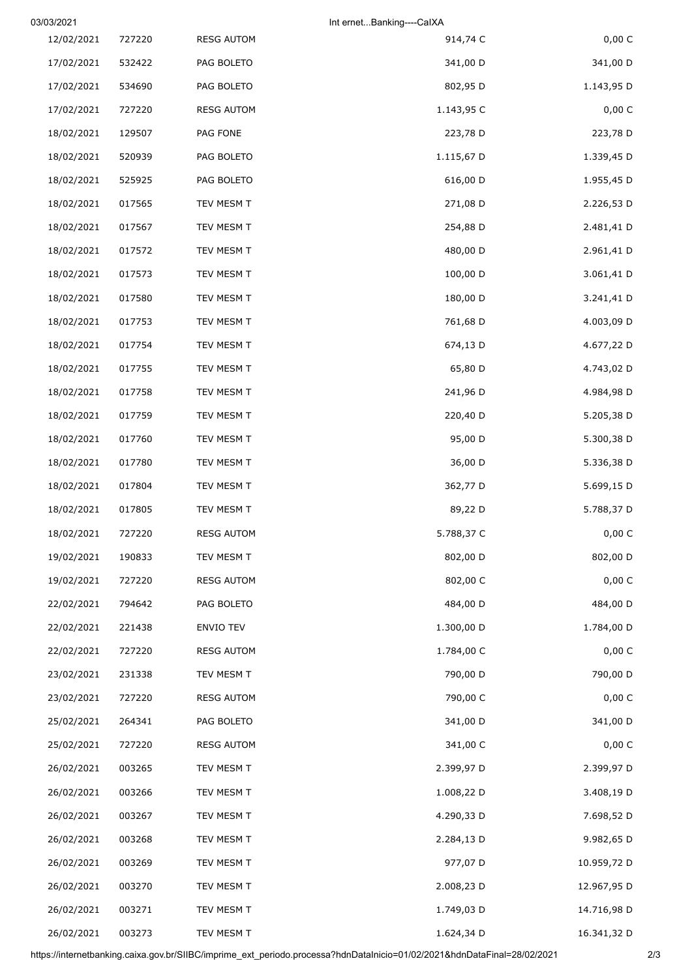| 03/03/2021 |        |                   | Int ernetBanking----CalXA |             |
|------------|--------|-------------------|---------------------------|-------------|
| 12/02/2021 | 727220 | <b>RESG AUTOM</b> | 914,74 C                  | 0,00 C      |
| 17/02/2021 | 532422 | PAG BOLETO        | 341,00 D                  | 341,00 D    |
| 17/02/2021 | 534690 | PAG BOLETO        | 802,95 D                  | 1.143,95 D  |
| 17/02/2021 | 727220 | <b>RESG AUTOM</b> | 1.143,95 C                | 0,00 C      |
| 18/02/2021 | 129507 | PAG FONE          | 223,78 D                  | 223,78 D    |
| 18/02/2021 | 520939 | PAG BOLETO        | 1.115,67 D                | 1.339,45 D  |
| 18/02/2021 | 525925 | PAG BOLETO        | 616,00 D                  | 1.955,45 D  |
| 18/02/2021 | 017565 | TEV MESM T        | 271,08 D                  | 2.226,53 D  |
| 18/02/2021 | 017567 | TEV MESM T        | 254,88 D                  | 2.481,41 D  |
| 18/02/2021 | 017572 | TEV MESM T        | 480,00 D                  | 2.961,41 D  |
| 18/02/2021 | 017573 | TEV MESM T        | 100,00 D                  | 3.061,41 D  |
| 18/02/2021 | 017580 | TEV MESM T        | 180,00 D                  | 3.241,41 D  |
| 18/02/2021 | 017753 | TEV MESM T        | 761,68 D                  | 4.003,09 D  |
| 18/02/2021 | 017754 | TEV MESM T        | 674,13 D                  | 4.677,22 D  |
| 18/02/2021 | 017755 | TEV MESM T        | 65,80 D                   | 4.743,02 D  |
| 18/02/2021 | 017758 | TEV MESM T        | 241,96 D                  | 4.984,98 D  |
| 18/02/2021 | 017759 | TEV MESM T        | 220,40 D                  | 5.205,38 D  |
| 18/02/2021 | 017760 | TEV MESM T        | 95,00 D                   | 5.300,38 D  |
| 18/02/2021 | 017780 | TEV MESM T        | 36,00 D                   | 5.336,38 D  |
| 18/02/2021 | 017804 | TEV MESM T        | 362,77 D                  | 5.699,15 D  |
| 18/02/2021 | 017805 | TEV MESM T        | 89,22 D                   | 5.788,37 D  |
| 18/02/2021 | 727220 | <b>RESG AUTOM</b> | 5.788,37 C                | 0,00 C      |
| 19/02/2021 | 190833 | TEV MESM T        | 802,00 D                  | 802,00 D    |
| 19/02/2021 | 727220 | <b>RESG AUTOM</b> | 802,00 C                  | 0,00 C      |
| 22/02/2021 | 794642 | PAG BOLETO        | 484,00 D                  | 484,00 D    |
| 22/02/2021 | 221438 | ENVIO TEV         | 1.300,00 D                | 1.784,00 D  |
| 22/02/2021 | 727220 | <b>RESG AUTOM</b> | 1.784,00 C                | 0,00 C      |
| 23/02/2021 | 231338 | TEV MESM T        | 790,00 D                  | 790,00 D    |
| 23/02/2021 | 727220 | <b>RESG AUTOM</b> | 790,00 C                  | 0,00 C      |
| 25/02/2021 | 264341 | PAG BOLETO        | 341,00 D                  | 341,00 D    |
| 25/02/2021 | 727220 | <b>RESG AUTOM</b> | 341,00 C                  | 0,00 C      |
| 26/02/2021 | 003265 | TEV MESM T        | 2.399,97 D                | 2.399,97 D  |
| 26/02/2021 | 003266 | TEV MESM T        | 1.008,22 D                | 3.408,19 D  |
| 26/02/2021 | 003267 | TEV MESM T        | 4.290,33 D                | 7.698,52 D  |
| 26/02/2021 | 003268 | TEV MESM T        | 2.284,13 D                | 9.982,65 D  |
| 26/02/2021 | 003269 | TEV MESM T        | 977,07 D                  | 10.959,72 D |
| 26/02/2021 | 003270 | TEV MESM T        | 2.008,23 D                | 12.967,95 D |
| 26/02/2021 | 003271 | TEV MESM T        | 1.749,03 D                | 14.716,98 D |
| 26/02/2021 | 003273 | TEV MESM T        | 1.624,34 D                | 16.341,32 D |